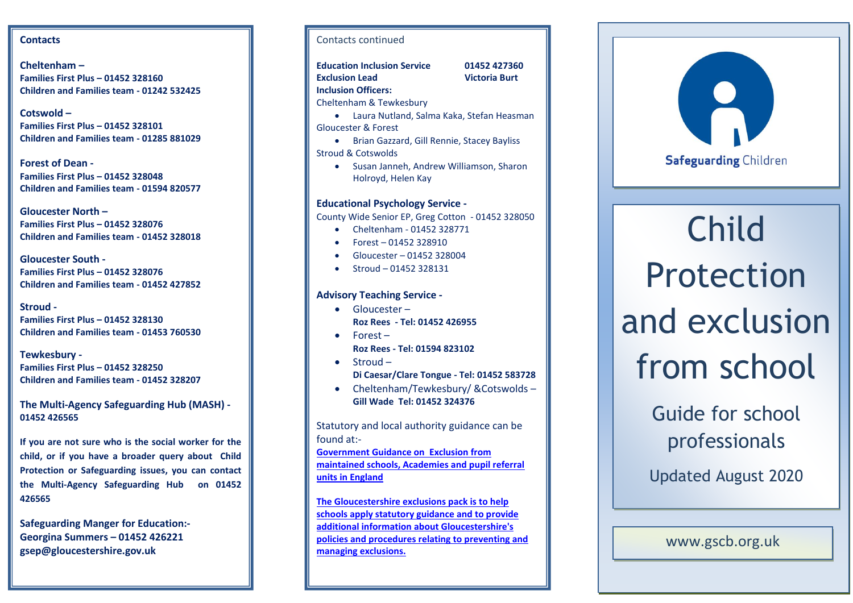# **Contacts**

**Cheltenham – Families First Plus – 01452 328160 Children and Families team - 01242 532425**

**Cotswold – Families First Plus – 01452 328101 Children and Families team - 01285 881029**

**Forest of Dean - Families First Plus – 01452 328048 Children and Families team - 01594 820577**

**Gloucester North – Families First Plus – 01452 328076 Children and Families team - 01452 328018**

**Gloucester South - Families First Plus – 01452 328076 Children and Families team - 01452 427852**

**Stroud - Families First Plus – 01452 328130 Children and Families team - 01453 760530** 

**Tewkesbury - Families First Plus – 01452 328250 Children and Families team - 01452 328207**

**The Multi-Agency Safeguarding Hub (MASH) - 01452 426565** 

**If you are not sure who is the social worker for the child, or if you have a broader query about Child Protection or Safeguarding issues, you can contact the Multi-Agency Safeguarding Hub on 01452 426565**

**Safeguarding Manger for Education:- Georgina Summers – 01452 426221 gsep@gloucestershire.gov.uk** 

# Contacts continued

**Education Inclusion Service 01452 427360 Exclusion Lead Victoria Burt** 

**Inclusion Officers:** Cheltenham & Tewkesbury

 Laura Nutland, Salma Kaka, Stefan Heasman Gloucester & Forest

- **•** Brian Gazzard, Gill Rennie, Stacey Bayliss Stroud & Cotswolds
	- Susan Janneh, Andrew Williamson, Sharon Holroyd, Helen Kay

# **Educational Psychology Service -**

County Wide Senior EP, Greg Cotton - 01452 328050

- Cheltenham 01452 328771
- Forest 01452 328910
- Gloucester 01452 328004
- $\bullet$  Stroud 01452 328131

# **Advisory Teaching Service -**

- Gloucester **Roz Rees - Tel: 01452 426955**
- $\bullet$  Forest
	- **Roz Rees - Tel: 01594 823102**
- Stroud **Di Caesar/Clare Tongue - Tel: 01452 583728**
- Cheltenham/Tewkesbury/ & Cotswolds -**Gill Wade Tel: 01452 324376**

Statutory and local authority guidance can be found at:-

**[Government Guidance on Exclusion from](https://www.gov.uk/government/uploads/system/uploads/attachment_data/file/269681/Exclusion_from_maintained_schools__academies_and_pupil_referral_units.pdf)  [maintained schools, Academies and pupil referral](https://www.gov.uk/government/uploads/system/uploads/attachment_data/file/269681/Exclusion_from_maintained_schools__academies_and_pupil_referral_units.pdf)  [units in England](https://www.gov.uk/government/uploads/system/uploads/attachment_data/file/269681/Exclusion_from_maintained_schools__academies_and_pupil_referral_units.pdf)**

**[The Gloucestershire exclusions pack is to help](http://www.gloucestershire.gov.uk/schoolsnet/your-pupils/exclusions/)  [schools apply statutory guidance and to provide](http://www.gloucestershire.gov.uk/schoolsnet/your-pupils/exclusions/)  [additional information about Gloucestershire's](http://www.gloucestershire.gov.uk/schoolsnet/your-pupils/exclusions/)  [policies and procedures relating to preventing and](http://www.gloucestershire.gov.uk/schoolsnet/your-pupils/exclusions/)  [managing exclusions.](http://www.gloucestershire.gov.uk/schoolsnet/your-pupils/exclusions/)**



# Child Protection and exclusion from school

# Guide for school professionals

Updated August 2020

[www.gscb.org.uk](http://www.gscb.org.uk/training)